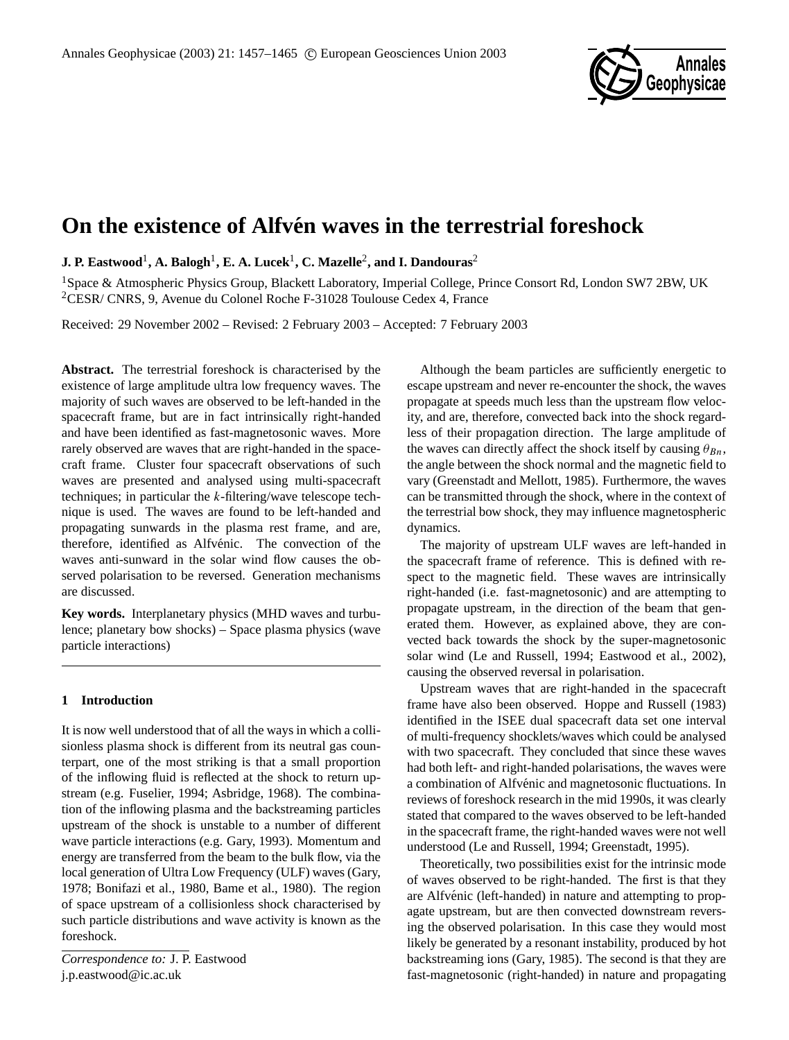

# **On the existence of Alfvén waves in the terrestrial foreshock**

 $\,$  **J. P.** Eastwood $^{1}$ , A. Balogh $^{1}$ , E. A. Lucek $^{1}$ , C. Mazelle $^{2}$ , and I. Dandouras $^{2}$ 

<sup>1</sup>Space & Atmospheric Physics Group, Blackett Laboratory, Imperial College, Prince Consort Rd, London SW7 2BW, UK <sup>2</sup>CESR/ CNRS, 9, Avenue du Colonel Roche F-31028 Toulouse Cedex 4, France

Received: 29 November 2002 – Revised: 2 February 2003 – Accepted: 7 February 2003

**Abstract.** The terrestrial foreshock is characterised by the existence of large amplitude ultra low frequency waves. The majority of such waves are observed to be left-handed in the spacecraft frame, but are in fact intrinsically right-handed and have been identified as fast-magnetosonic waves. More rarely observed are waves that are right-handed in the spacecraft frame. Cluster four spacecraft observations of such waves are presented and analysed using multi-spacecraft techniques; in particular the  $k$ -filtering/wave telescope technique is used. The waves are found to be left-handed and propagating sunwards in the plasma rest frame, and are, therefore, identified as Alfvénic. The convection of the waves anti-sunward in the solar wind flow causes the observed polarisation to be reversed. Generation mechanisms are discussed.

**Key words.** Interplanetary physics (MHD waves and turbulence; planetary bow shocks) – Space plasma physics (wave particle interactions)

## **1 Introduction**

It is now well understood that of all the ways in which a collisionless plasma shock is different from its neutral gas counterpart, one of the most striking is that a small proportion of the inflowing fluid is reflected at the shock to return upstream (e.g. Fuselier, 1994; Asbridge, 1968). The combination of the inflowing plasma and the backstreaming particles upstream of the shock is unstable to a number of different wave particle interactions (e.g. Gary, 1993). Momentum and energy are transferred from the beam to the bulk flow, via the local generation of Ultra Low Frequency (ULF) waves (Gary, 1978; Bonifazi et al., 1980, Bame et al., 1980). The region of space upstream of a collisionless shock characterised by such particle distributions and wave activity is known as the foreshock.

*Correspondence to:* J. P. Eastwood j.p.eastwood@ic.ac.uk

Although the beam particles are sufficiently energetic to escape upstream and never re-encounter the shock, the waves propagate at speeds much less than the upstream flow velocity, and are, therefore, convected back into the shock regardless of their propagation direction. The large amplitude of the waves can directly affect the shock itself by causing  $\theta_{Bn}$ , the angle between the shock normal and the magnetic field to vary (Greenstadt and Mellott, 1985). Furthermore, the waves can be transmitted through the shock, where in the context of the terrestrial bow shock, they may influence magnetospheric dynamics.

The majority of upstream ULF waves are left-handed in the spacecraft frame of reference. This is defined with respect to the magnetic field. These waves are intrinsically right-handed (i.e. fast-magnetosonic) and are attempting to propagate upstream, in the direction of the beam that generated them. However, as explained above, they are convected back towards the shock by the super-magnetosonic solar wind (Le and Russell, 1994; Eastwood et al., 2002), causing the observed reversal in polarisation.

Upstream waves that are right-handed in the spacecraft frame have also been observed. Hoppe and Russell (1983) identified in the ISEE dual spacecraft data set one interval of multi-frequency shocklets/waves which could be analysed with two spacecraft. They concluded that since these waves had both left- and right-handed polarisations, the waves were a combination of Alfvénic and magnetosonic fluctuations. In reviews of foreshock research in the mid 1990s, it was clearly stated that compared to the waves observed to be left-handed in the spacecraft frame, the right-handed waves were not well understood (Le and Russell, 1994; Greenstadt, 1995).

Theoretically, two possibilities exist for the intrinsic mode of waves observed to be right-handed. The first is that they are Alfvénic (left-handed) in nature and attempting to propagate upstream, but are then convected downstream reversing the observed polarisation. In this case they would most likely be generated by a resonant instability, produced by hot backstreaming ions (Gary, 1985). The second is that they are fast-magnetosonic (right-handed) in nature and propagating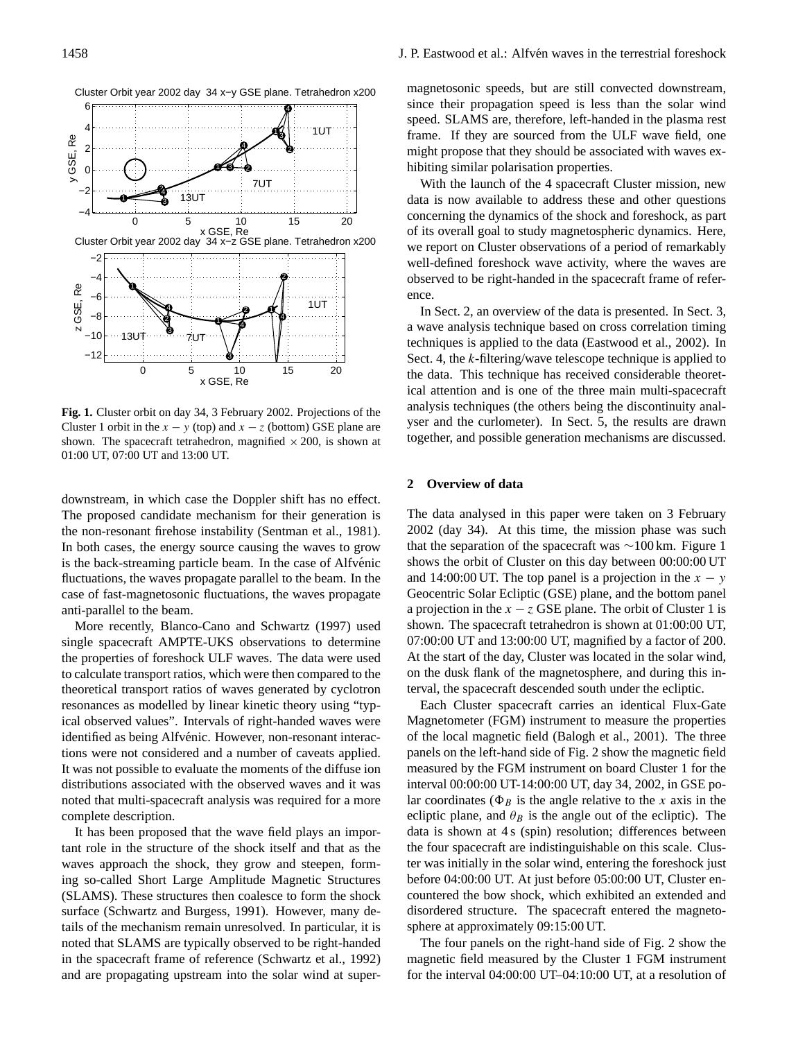

**Fig. 1.** Cluster orbit on day 34, 3 February 2002. Projections of the Cluster 1 orbit in the  $x - y$  (top) and  $x - z$  (bottom) GSE plane are shown. The spacecraft tetrahedron, magnified  $\times$  200, is shown at 01:00 UT, 07:00 UT and 13:00 UT.

downstream, in which case the Doppler shift has no effect. The proposed candidate mechanism for their generation is the non-resonant firehose instability (Sentman et al., 1981). In both cases, the energy source causing the waves to grow is the back-streaming particle beam. In the case of Alfvénic fluctuations, the waves propagate parallel to the beam. In the case of fast-magnetosonic fluctuations, the waves propagate anti-parallel to the beam.

More recently, Blanco-Cano and Schwartz (1997) used single spacecraft AMPTE-UKS observations to determine the properties of foreshock ULF waves. The data were used to calculate transport ratios, which were then compared to the theoretical transport ratios of waves generated by cyclotron resonances as modelled by linear kinetic theory using "typical observed values". Intervals of right-handed waves were identified as being Alfvénic. However, non-resonant interactions were not considered and a number of caveats applied. It was not possible to evaluate the moments of the diffuse ion distributions associated with the observed waves and it was noted that multi-spacecraft analysis was required for a more complete description.

It has been proposed that the wave field plays an important role in the structure of the shock itself and that as the waves approach the shock, they grow and steepen, forming so-called Short Large Amplitude Magnetic Structures (SLAMS). These structures then coalesce to form the shock surface (Schwartz and Burgess, 1991). However, many details of the mechanism remain unresolved. In particular, it is noted that SLAMS are typically observed to be right-handed in the spacecraft frame of reference (Schwartz et al., 1992) and are propagating upstream into the solar wind at super-

magnetosonic speeds, but are still convected downstream, since their propagation speed is less than the solar wind speed. SLAMS are, therefore, left-handed in the plasma rest frame. If they are sourced from the ULF wave field, one might propose that they should be associated with waves exhibiting similar polarisation properties.

With the launch of the 4 spacecraft Cluster mission, new data is now available to address these and other questions concerning the dynamics of the shock and foreshock, as part of its overall goal to study magnetospheric dynamics. Here, we report on Cluster observations of a period of remarkably well-defined foreshock wave activity, where the waves are observed to be right-handed in the spacecraft frame of reference.

In Sect. 2, an overview of the data is presented. In Sect. 3, a wave analysis technique based on cross correlation timing techniques is applied to the data (Eastwood et al., 2002). In Sect. 4, the k-filtering/wave telescope technique is applied to the data. This technique has received considerable theoretical attention and is one of the three main multi-spacecraft analysis techniques (the others being the discontinuity analyser and the curlometer). In Sect. 5, the results are drawn together, and possible generation mechanisms are discussed.

## **2 Overview of data**

The data analysed in this paper were taken on 3 February 2002 (day 34). At this time, the mission phase was such that the separation of the spacecraft was ∼100 km. Figure 1 shows the orbit of Cluster on this day between 00:00:00 UT and 14:00:00 UT. The top panel is a projection in the  $x - y$ Geocentric Solar Ecliptic (GSE) plane, and the bottom panel a projection in the  $x - z$  GSE plane. The orbit of Cluster 1 is shown. The spacecraft tetrahedron is shown at 01:00:00 UT, 07:00:00 UT and 13:00:00 UT, magnified by a factor of 200. At the start of the day, Cluster was located in the solar wind, on the dusk flank of the magnetosphere, and during this interval, the spacecraft descended south under the ecliptic.

Each Cluster spacecraft carries an identical Flux-Gate Magnetometer (FGM) instrument to measure the properties of the local magnetic field (Balogh et al., 2001). The three panels on the left-hand side of Fig. 2 show the magnetic field measured by the FGM instrument on board Cluster 1 for the interval 00:00:00 UT-14:00:00 UT, day 34, 2002, in GSE polar coordinates ( $\Phi_B$  is the angle relative to the x axis in the ecliptic plane, and  $\theta_B$  is the angle out of the ecliptic). The data is shown at 4 s (spin) resolution; differences between the four spacecraft are indistinguishable on this scale. Cluster was initially in the solar wind, entering the foreshock just before 04:00:00 UT. At just before 05:00:00 UT, Cluster encountered the bow shock, which exhibited an extended and disordered structure. The spacecraft entered the magnetosphere at approximately 09:15:00 UT.

The four panels on the right-hand side of Fig. 2 show the magnetic field measured by the Cluster 1 FGM instrument for the interval 04:00:00 UT–04:10:00 UT, at a resolution of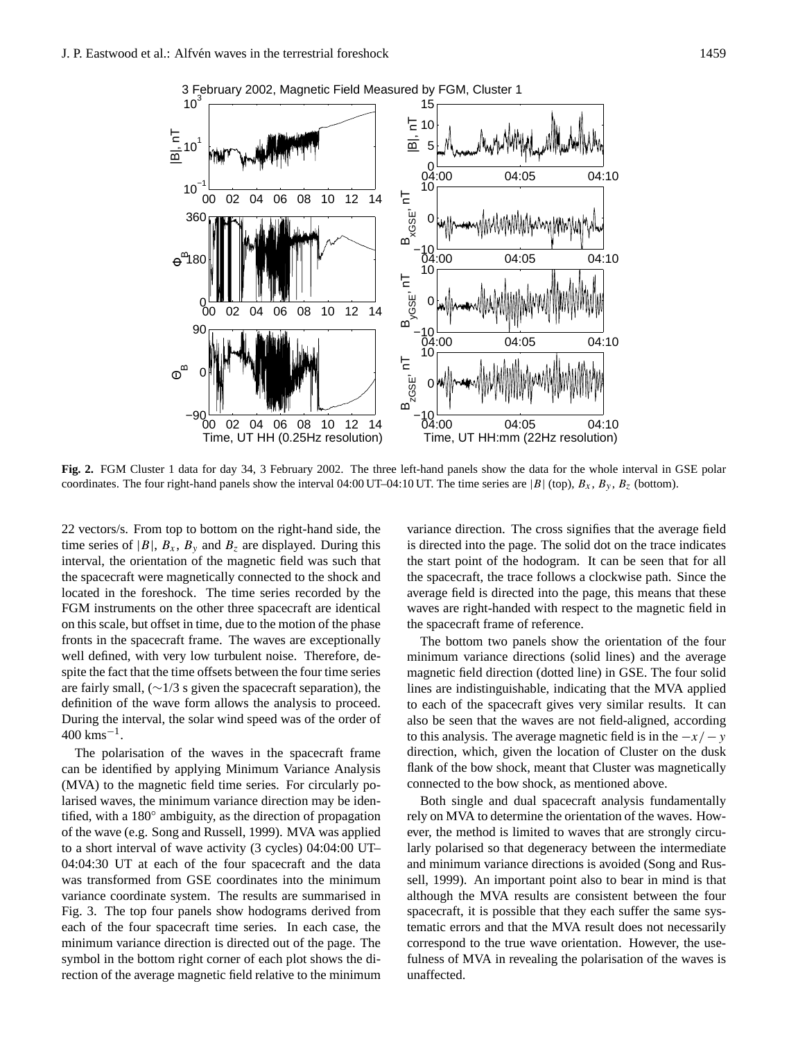

3 February 2002, Magnetic Field Measured by FGM, Cluster 1

**Fig. 2.** FGM Cluster 1 data for day 34, 3 February 2002. The three left-hand panels show the data for the whole interval in GSE polar coordinates. The four right-hand panels show the interval 04:00 UT–04:10 UT. The time series are |B| (top),  $B_x$ ,  $B_y$ ,  $B_z$  (bottom).

22 vectors/s. From top to bottom on the right-hand side, the time series of  $|B|$ ,  $B_x$ ,  $B_y$  and  $B_z$  are displayed. During this interval, the orientation of the magnetic field was such that the spacecraft were magnetically connected to the shock and located in the foreshock. The time series recorded by the FGM instruments on the other three spacecraft are identical on this scale, but offset in time, due to the motion of the phase fronts in the spacecraft frame. The waves are exceptionally well defined, with very low turbulent noise. Therefore, despite the fact that the time offsets between the four time series are fairly small, (∼1/3 s given the spacecraft separation), the definition of the wave form allows the analysis to proceed. During the interval, the solar wind speed was of the order of 400 kms−<sup>1</sup> .

The polarisation of the waves in the spacecraft frame can be identified by applying Minimum Variance Analysis (MVA) to the magnetic field time series. For circularly polarised waves, the minimum variance direction may be identified, with a 180◦ ambiguity, as the direction of propagation of the wave (e.g. Song and Russell, 1999). MVA was applied to a short interval of wave activity (3 cycles) 04:04:00 UT– 04:04:30 UT at each of the four spacecraft and the data was transformed from GSE coordinates into the minimum variance coordinate system. The results are summarised in Fig. 3. The top four panels show hodograms derived from each of the four spacecraft time series. In each case, the minimum variance direction is directed out of the page. The symbol in the bottom right corner of each plot shows the direction of the average magnetic field relative to the minimum

variance direction. The cross signifies that the average field is directed into the page. The solid dot on the trace indicates the start point of the hodogram. It can be seen that for all the spacecraft, the trace follows a clockwise path. Since the average field is directed into the page, this means that these waves are right-handed with respect to the magnetic field in the spacecraft frame of reference.

The bottom two panels show the orientation of the four minimum variance directions (solid lines) and the average magnetic field direction (dotted line) in GSE. The four solid lines are indistinguishable, indicating that the MVA applied to each of the spacecraft gives very similar results. It can also be seen that the waves are not field-aligned, according to this analysis. The average magnetic field is in the  $-x/ - y$ direction, which, given the location of Cluster on the dusk flank of the bow shock, meant that Cluster was magnetically connected to the bow shock, as mentioned above.

Both single and dual spacecraft analysis fundamentally rely on MVA to determine the orientation of the waves. However, the method is limited to waves that are strongly circularly polarised so that degeneracy between the intermediate and minimum variance directions is avoided (Song and Russell, 1999). An important point also to bear in mind is that although the MVA results are consistent between the four spacecraft, it is possible that they each suffer the same systematic errors and that the MVA result does not necessarily correspond to the true wave orientation. However, the usefulness of MVA in revealing the polarisation of the waves is unaffected.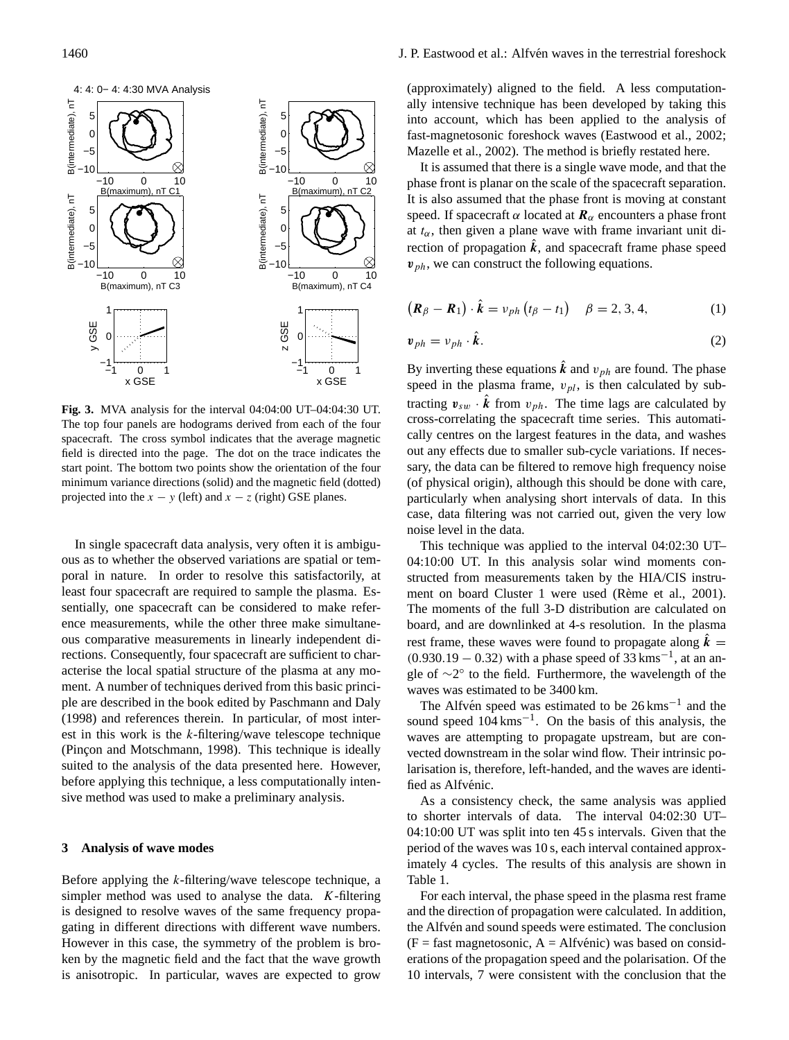

**Fig. 3.** MVA analysis for the interval 04:04:00 UT–04:04:30 UT. The top four panels are hodograms derived from each of the four spacecraft. The cross symbol indicates that the average magnetic field is directed into the page. The dot on the trace indicates the start point. The bottom two points show the orientation of the four minimum variance directions (solid) and the magnetic field (dotted) projected into the  $x - y$  (left) and  $x - z$  (right) GSE planes.

In single spacecraft data analysis, very often it is ambiguous as to whether the observed variations are spatial or temporal in nature. In order to resolve this satisfactorily, at least four spacecraft are required to sample the plasma. Essentially, one spacecraft can be considered to make reference measurements, while the other three make simultaneous comparative measurements in linearly independent directions. Consequently, four spacecraft are sufficient to characterise the local spatial structure of the plasma at any moment. A number of techniques derived from this basic principle are described in the book edited by Paschmann and Daly (1998) and references therein. In particular, of most interest in this work is the  $k$ -filtering/wave telescope technique (Pincon and Motschmann, 1998). This technique is ideally suited to the analysis of the data presented here. However, before applying this technique, a less computationally intensive method was used to make a preliminary analysis.

### **3 Analysis of wave modes**

Before applying the k-filtering/wave telescope technique, a simpler method was used to analyse the data.  $K$ -filtering is designed to resolve waves of the same frequency propagating in different directions with different wave numbers. However in this case, the symmetry of the problem is broken by the magnetic field and the fact that the wave growth is anisotropic. In particular, waves are expected to grow (approximately) aligned to the field. A less computationally intensive technique has been developed by taking this into account, which has been applied to the analysis of fast-magnetosonic foreshock waves (Eastwood et al., 2002; Mazelle et al., 2002). The method is briefly restated here.

It is assumed that there is a single wave mode, and that the phase front is planar on the scale of the spacecraft separation. It is also assumed that the phase front is moving at constant speed. If spacecraft  $\alpha$  located at  $\mathbf{R}_{\alpha}$  encounters a phase front at  $t_{\alpha}$ , then given a plane wave with frame invariant unit direction of propagation  $k$ , and spacecraft frame phase speed  $v_{ph}$ , we can construct the following equations.

$$
(\boldsymbol{R}_{\beta}-\boldsymbol{R}_{1})\cdot\hat{\boldsymbol{k}}=\nu_{ph}\left(t_{\beta}-t_{1}\right)\quad\beta=2,3,4,\tag{1}
$$

$$
\mathbf{v}_{ph} = v_{ph} \cdot \hat{\mathbf{k}}.\tag{2}
$$

By inverting these equations  $\hat{k}$  and  $v_{ph}$  are found. The phase speed in the plasma frame,  $v_{pl}$ , is then calculated by subtracting  $v_{sw} \cdot \hat{k}$  from  $v_{ph}$ . The time lags are calculated by cross-correlating the spacecraft time series. This automatically centres on the largest features in the data, and washes out any effects due to smaller sub-cycle variations. If necessary, the data can be filtered to remove high frequency noise (of physical origin), although this should be done with care, particularly when analysing short intervals of data. In this case, data filtering was not carried out, given the very low noise level in the data.

This technique was applied to the interval 04:02:30 UT– 04:10:00 UT. In this analysis solar wind moments constructed from measurements taken by the HIA/CIS instrument on board Cluster 1 were used (Rème et al., 2001). The moments of the full 3-D distribution are calculated on board, and are downlinked at 4-s resolution. In the plasma rest frame, these waves were found to propagate along  $\hat{k} =$  $(0.930.19 - 0.32)$  with a phase speed of 33 kms<sup>-1</sup>, at an angle of ~2° to the field. Furthermore, the wavelength of the waves was estimated to be 3400 km.

The Alfvén speed was estimated to be  $26 \text{ km s}^{-1}$  and the sound speed  $104$  kms<sup>-1</sup>. On the basis of this analysis, the waves are attempting to propagate upstream, but are convected downstream in the solar wind flow. Their intrinsic polarisation is, therefore, left-handed, and the waves are identified as Alfvénic.

As a consistency check, the same analysis was applied to shorter intervals of data. The interval 04:02:30 UT– 04:10:00 UT was split into ten 45 s intervals. Given that the period of the waves was 10 s, each interval contained approximately 4 cycles. The results of this analysis are shown in Table 1.

For each interval, the phase speed in the plasma rest frame and the direction of propagation were calculated. In addition, the Alfvén and sound speeds were estimated. The conclusion  $(F =$  fast magnetosonic,  $A =$  Alfvénic) was based on considerations of the propagation speed and the polarisation. Of the 10 intervals, 7 were consistent with the conclusion that the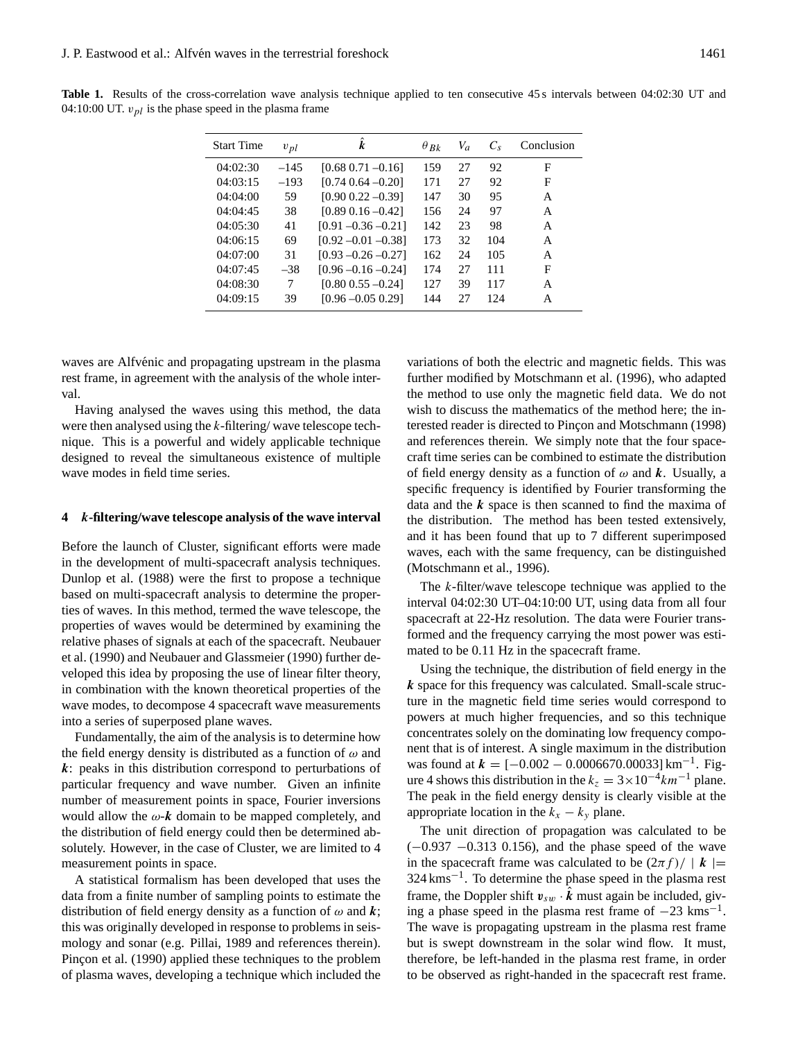| <b>Start Time</b> | $v_{pl}$ | k                       | $\theta_{Bk}$ | $V_a$ | $C_{\rm s}$ | Conclusion |
|-------------------|----------|-------------------------|---------------|-------|-------------|------------|
| 04:02:30          | $-145$   | $[0.68 \ 0.71 \ -0.16]$ | 159           | 27    | 92          | F          |
| 04:03:15          | $-193$   | $[0.74 \ 0.64 \ -0.20]$ | 171           | 27    | 92          | F          |
| 04:04:00          | 59       | $[0.90 0.22 - 0.39]$    | 147           | 30    | 95          | A          |
| 04:04:45          | 38       | $[0.89 \ 0.16 - 0.42]$  | 156           | 24    | 97          | A          |
| 04:05:30          | 41       | $[0.91 - 0.36 - 0.21]$  | 142           | 23    | 98          | A          |
| 04:06:15          | 69       | $[0.92 - 0.01 - 0.38]$  | 173           | 32    | 104         | A          |
| 04:07:00          | 31       | $[0.93 - 0.26 - 0.27]$  | 162           | 24    | 105         | A          |
| 04:07:45          | $-38$    | $[0.96 - 0.16 - 0.24]$  | 174           | 27    | 111         | F          |
| 04:08:30          | 7        | $[0.80 \ 0.55 \ -0.24]$ | 127           | 39    | 117         | A          |
| 04:09:15          | 39       | $[0.96 - 0.05 0.29]$    | 144           | 27    | 124         | A          |

**Table 1.** Results of the cross-correlation wave analysis technique applied to ten consecutive 45 s intervals between 04:02:30 UT and 04:10:00 UT.  $v_{pl}$  is the phase speed in the plasma frame

waves are Alfvénic and propagating upstream in the plasma rest frame, in agreement with the analysis of the whole interval.

Having analysed the waves using this method, the data were then analysed using the k-filtering/ wave telescope technique. This is a powerful and widely applicable technique designed to reveal the simultaneous existence of multiple wave modes in field time series.

#### **4** k**-filtering/wave telescope analysis of the wave interval**

Before the launch of Cluster, significant efforts were made in the development of multi-spacecraft analysis techniques. Dunlop et al. (1988) were the first to propose a technique based on multi-spacecraft analysis to determine the properties of waves. In this method, termed the wave telescope, the properties of waves would be determined by examining the relative phases of signals at each of the spacecraft. Neubauer et al. (1990) and Neubauer and Glassmeier (1990) further developed this idea by proposing the use of linear filter theory, in combination with the known theoretical properties of the wave modes, to decompose 4 spacecraft wave measurements into a series of superposed plane waves.

Fundamentally, the aim of the analysis is to determine how the field energy density is distributed as a function of  $\omega$  and k: peaks in this distribution correspond to perturbations of particular frequency and wave number. Given an infinite number of measurement points in space, Fourier inversions would allow the  $\omega$ -**k** domain to be mapped completely, and the distribution of field energy could then be determined absolutely. However, in the case of Cluster, we are limited to 4 measurement points in space.

A statistical formalism has been developed that uses the data from a finite number of sampling points to estimate the distribution of field energy density as a function of  $\omega$  and  $k$ ; this was originally developed in response to problems in seismology and sonar (e.g. Pillai, 1989 and references therein). Pincon et al. (1990) applied these techniques to the problem of plasma waves, developing a technique which included the

variations of both the electric and magnetic fields. This was further modified by Motschmann et al. (1996), who adapted the method to use only the magnetic field data. We do not wish to discuss the mathematics of the method here; the interested reader is directed to Pincon and Motschmann (1998) and references therein. We simply note that the four spacecraft time series can be combined to estimate the distribution of field energy density as a function of  $\omega$  and k. Usually, a specific frequency is identified by Fourier transforming the data and the  $k$  space is then scanned to find the maxima of the distribution. The method has been tested extensively, and it has been found that up to 7 different superimposed waves, each with the same frequency, can be distinguished (Motschmann et al., 1996).

The k-filter/wave telescope technique was applied to the interval 04:02:30 UT–04:10:00 UT, using data from all four spacecraft at 22-Hz resolution. The data were Fourier transformed and the frequency carrying the most power was estimated to be 0.11 Hz in the spacecraft frame.

Using the technique, the distribution of field energy in the k space for this frequency was calculated. Small-scale structure in the magnetic field time series would correspond to powers at much higher frequencies, and so this technique concentrates solely on the dominating low frequency component that is of interest. A single maximum in the distribution was found at  $k = [-0.002 - 0.0006670.00033]$  km<sup>-1</sup>. Figure 4 shows this distribution in the  $k_z = 3 \times 10^{-4}$  km<sup>-1</sup> plane. The peak in the field energy density is clearly visible at the appropriate location in the  $k_x - k_y$  plane.

The unit direction of propagation was calculated to be (−0.937 −0.313 0.156), and the phase speed of the wave in the spacecraft frame was calculated to be  $(2\pi f)/ |k|$ 324 kms−<sup>1</sup> . To determine the phase speed in the plasma rest frame, the Doppler shift  $v_{sw} \cdot \hat{k}$  must again be included, giving a phase speed in the plasma rest frame of  $-23$  kms<sup>-1</sup>. The wave is propagating upstream in the plasma rest frame but is swept downstream in the solar wind flow. It must, therefore, be left-handed in the plasma rest frame, in order to be observed as right-handed in the spacecraft rest frame.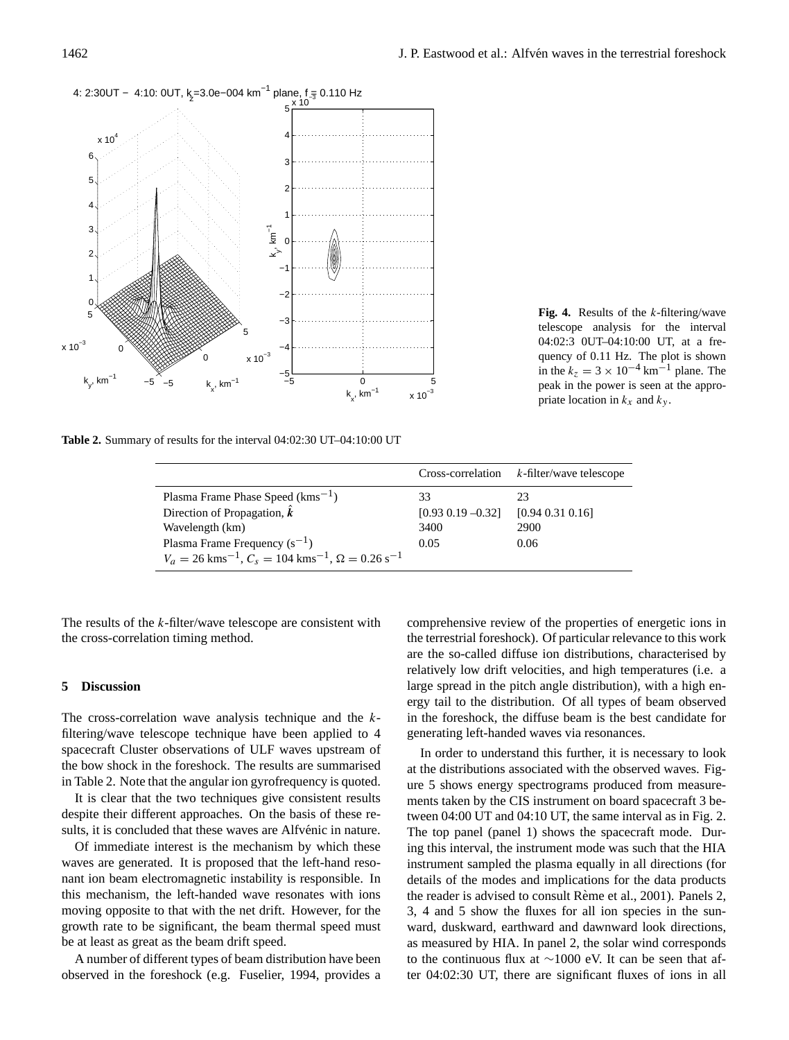

**Fig. 4.** Results of the k-filtering/wave telescope analysis for the interval 04:02:3 0UT–04:10:00 UT, at a frequency of 0.11 Hz. The plot is shown in the  $k_z = 3 \times 10^{-4}$  km<sup>-1</sup> plane. The peak in the power is seen at the appropriate location in  $k_x$  and  $k_y$ .

**Table 2.** Summary of results for the interval 04:02:30 UT–04:10:00 UT

|                                                                                                |                        | $Cross-correlation$ $k$ -filter/wave telescope |
|------------------------------------------------------------------------------------------------|------------------------|------------------------------------------------|
| Plasma Frame Phase Speed $(kms^{-1})$                                                          | 33                     | 23                                             |
| Direction of Propagation, $\hat{k}$                                                            | $[0.93 \ 0.19 - 0.32]$ | [0.94 0.31 0.16]                               |
| Wavelength (km)                                                                                | 3400                   | 2900                                           |
| Plasma Frame Frequency $(s^{-1})$                                                              | 0.05                   | 0.06                                           |
| $V_a = 26$ kms <sup>-1</sup> , $C_s = 104$ kms <sup>-1</sup> , $\Omega = 0.26$ s <sup>-1</sup> |                        |                                                |

The results of the  $k$ -filter/wave telescope are consistent with the cross-correlation timing method.

## **5 Discussion**

The cross-correlation wave analysis technique and the kfiltering/wave telescope technique have been applied to 4 spacecraft Cluster observations of ULF waves upstream of the bow shock in the foreshock. The results are summarised in Table 2. Note that the angular ion gyrofrequency is quoted.

It is clear that the two techniques give consistent results despite their different approaches. On the basis of these results, it is concluded that these waves are Alfvénic in nature.

Of immediate interest is the mechanism by which these waves are generated. It is proposed that the left-hand resonant ion beam electromagnetic instability is responsible. In this mechanism, the left-handed wave resonates with ions moving opposite to that with the net drift. However, for the growth rate to be significant, the beam thermal speed must be at least as great as the beam drift speed.

A number of different types of beam distribution have been observed in the foreshock (e.g. Fuselier, 1994, provides a

comprehensive review of the properties of energetic ions in the terrestrial foreshock). Of particular relevance to this work are the so-called diffuse ion distributions, characterised by relatively low drift velocities, and high temperatures (i.e. a large spread in the pitch angle distribution), with a high energy tail to the distribution. Of all types of beam observed in the foreshock, the diffuse beam is the best candidate for generating left-handed waves via resonances.

In order to understand this further, it is necessary to look at the distributions associated with the observed waves. Figure 5 shows energy spectrograms produced from measurements taken by the CIS instrument on board spacecraft 3 between 04:00 UT and 04:10 UT, the same interval as in Fig. 2. The top panel (panel 1) shows the spacecraft mode. During this interval, the instrument mode was such that the HIA instrument sampled the plasma equally in all directions (for details of the modes and implications for the data products the reader is advised to consult Rème et al., 2001). Panels 2, 3, 4 and 5 show the fluxes for all ion species in the sunward, duskward, earthward and dawnward look directions, as measured by HIA. In panel 2, the solar wind corresponds to the continuous flux at ∼1000 eV. It can be seen that after 04:02:30 UT, there are significant fluxes of ions in all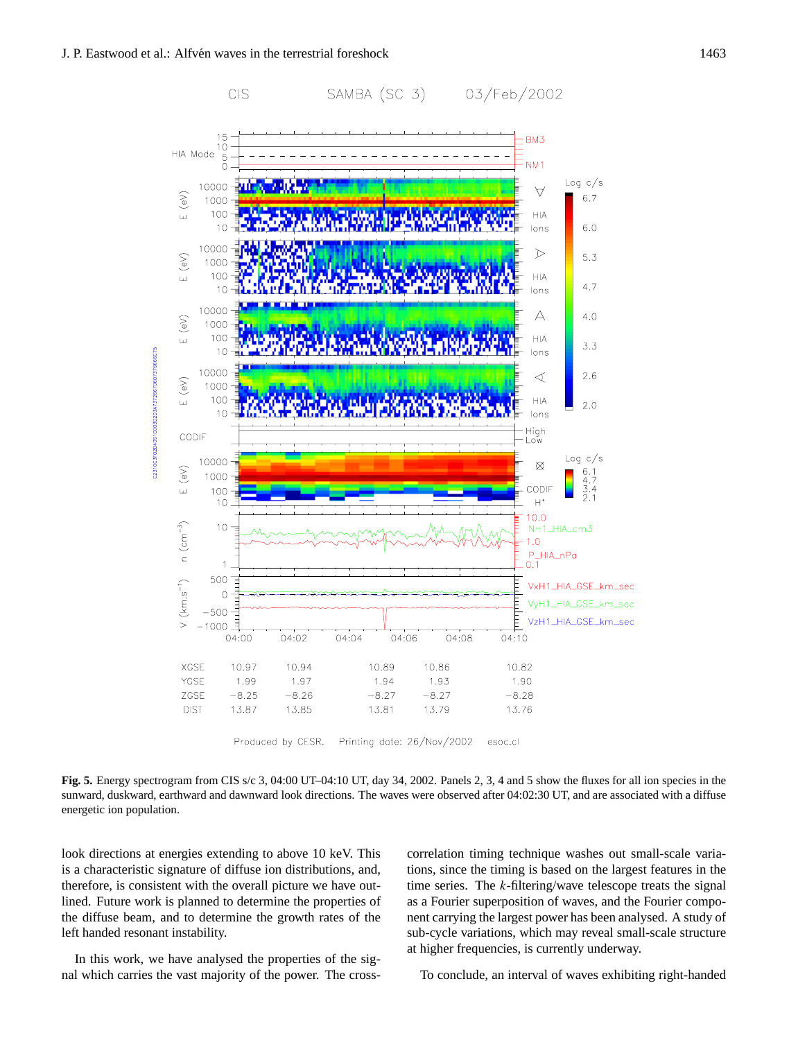

Produced by CESR. Printing date: 26/Nov/2002 esoc.cl

**Fig. 5.** Energy spectrogram from CIS s/c 3, 04:00 UT–04:10 UT, day 34, 2002. Panels 2, 3, 4 and 5 show the fluxes for all ion species in the sunward, duskward, earthward and dawnward look directions. The waves were observed after 04:02:30 UT, and are associated with a diffuse energetic ion population.

look directions at energies extending to above 10 keV. This is a characteristic signature of diffuse ion distributions, and, therefore, is consistent with the overall picture we have outlined. Future work is planned to determine the properties of the diffuse beam, and to determine the growth rates of the left handed resonant instability.

In this work, we have analysed the properties of the signal which carries the vast majority of the power. The crosscorrelation timing technique washes out small-scale variations, since the timing is based on the largest features in the time series. The  $k$ -filtering/wave telescope treats the signal as a Fourier superposition of waves, and the Fourier component carrying the largest power has been analysed. A study of sub-cycle variations, which may reveal small-scale structure at higher frequencies, is currently underway.

To conclude, an interval of waves exhibiting right-handed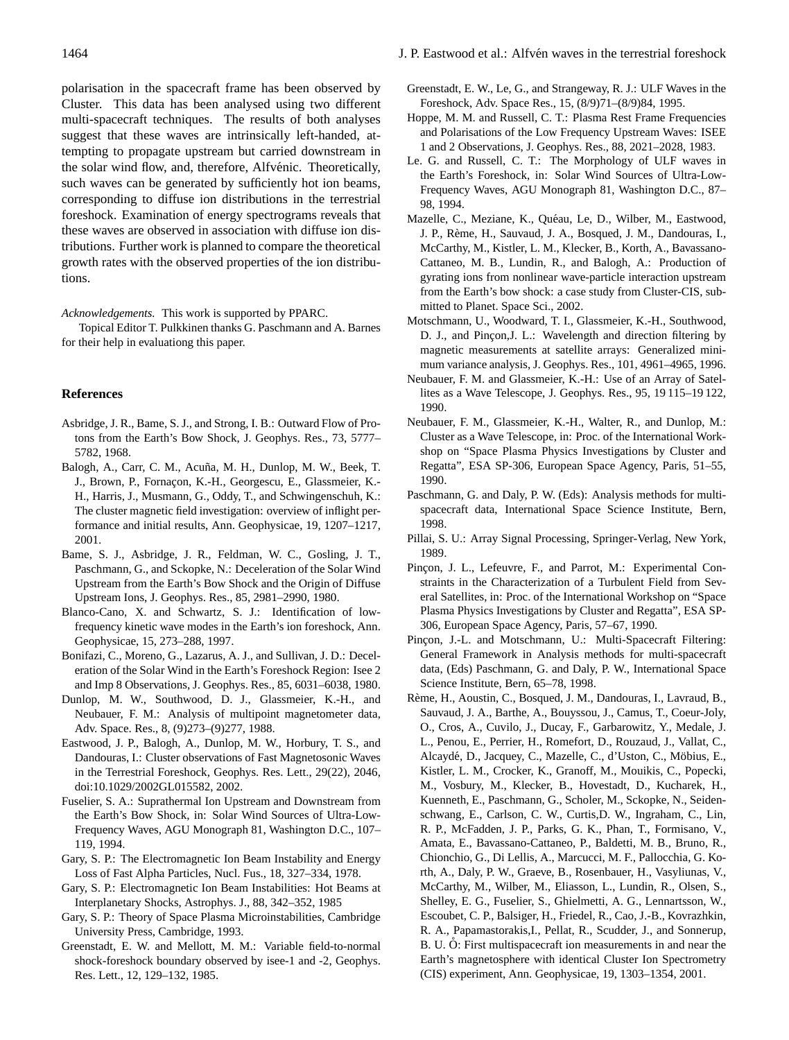polarisation in the spacecraft frame has been observed by Cluster. This data has been analysed using two different multi-spacecraft techniques. The results of both analyses suggest that these waves are intrinsically left-handed, attempting to propagate upstream but carried downstream in the solar wind flow, and, therefore, Alfvénic. Theoretically, such waves can be generated by sufficiently hot ion beams, corresponding to diffuse ion distributions in the terrestrial foreshock. Examination of energy spectrograms reveals that these waves are observed in association with diffuse ion distributions. Further work is planned to compare the theoretical growth rates with the observed properties of the ion distributions.

#### *Acknowledgements.* This work is supported by PPARC.

Topical Editor T. Pulkkinen thanks G. Paschmann and A. Barnes for their help in evaluationg this paper.

#### **References**

- Asbridge, J. R., Bame, S. J., and Strong, I. B.: Outward Flow of Protons from the Earth's Bow Shock, J. Geophys. Res., 73, 5777– 5782, 1968.
- Balogh, A., Carr, C. M., Acuña, M. H., Dunlop, M. W., Beek, T. J., Brown, P., Fornaçon, K.-H., Georgescu, E., Glassmeier, K.-H., Harris, J., Musmann, G., Oddy, T., and Schwingenschuh, K.: The cluster magnetic field investigation: overview of inflight performance and initial results, Ann. Geophysicae, 19, 1207–1217, 2001.
- Bame, S. J., Asbridge, J. R., Feldman, W. C., Gosling, J. T., Paschmann, G., and Sckopke, N.: Deceleration of the Solar Wind Upstream from the Earth's Bow Shock and the Origin of Diffuse Upstream Ions, J. Geophys. Res., 85, 2981–2990, 1980.
- Blanco-Cano, X. and Schwartz, S. J.: Identification of lowfrequency kinetic wave modes in the Earth's ion foreshock, Ann. Geophysicae, 15, 273–288, 1997.
- Bonifazi, C., Moreno, G., Lazarus, A. J., and Sullivan, J. D.: Deceleration of the Solar Wind in the Earth's Foreshock Region: Isee 2 and Imp 8 Observations, J. Geophys. Res., 85, 6031–6038, 1980.
- Dunlop, M. W., Southwood, D. J., Glassmeier, K.-H., and Neubauer, F. M.: Analysis of multipoint magnetometer data, Adv. Space. Res., 8, (9)273–(9)277, 1988.
- Eastwood, J. P., Balogh, A., Dunlop, M. W., Horbury, T. S., and Dandouras, I.: Cluster observations of Fast Magnetosonic Waves in the Terrestrial Foreshock, Geophys. Res. Lett., 29(22), 2046, doi:10.1029/2002GL015582, 2002.
- Fuselier, S. A.: Suprathermal Ion Upstream and Downstream from the Earth's Bow Shock, in: Solar Wind Sources of Ultra-Low-Frequency Waves, AGU Monograph 81, Washington D.C., 107– 119, 1994.
- Gary, S. P.: The Electromagnetic Ion Beam Instability and Energy Loss of Fast Alpha Particles, Nucl. Fus., 18, 327–334, 1978.
- Gary, S. P.: Electromagnetic Ion Beam Instabilities: Hot Beams at Interplanetary Shocks, Astrophys. J., 88, 342–352, 1985
- Gary, S. P.: Theory of Space Plasma Microinstabilities, Cambridge University Press, Cambridge, 1993.
- Greenstadt, E. W. and Mellott, M. M.: Variable field-to-normal shock-foreshock boundary observed by isee-1 and -2, Geophys. Res. Lett., 12, 129–132, 1985.
- Greenstadt, E. W., Le, G., and Strangeway, R. J.: ULF Waves in the Foreshock, Adv. Space Res., 15, (8/9)71–(8/9)84, 1995.
- Hoppe, M. M. and Russell, C. T.: Plasma Rest Frame Frequencies and Polarisations of the Low Frequency Upstream Waves: ISEE 1 and 2 Observations, J. Geophys. Res., 88, 2021–2028, 1983.
- Le. G. and Russell, C. T.: The Morphology of ULF waves in the Earth's Foreshock, in: Solar Wind Sources of Ultra-Low-Frequency Waves, AGU Monograph 81, Washington D.C., 87– 98, 1994.
- Mazelle, C., Meziane, K., Quéau, Le, D., Wilber, M., Eastwood, J. P., Reme, H., Sauvaud, J. A., Bosqued, J. M., Dandouras, I., ` McCarthy, M., Kistler, L. M., Klecker, B., Korth, A., Bavassano-Cattaneo, M. B., Lundin, R., and Balogh, A.: Production of gyrating ions from nonlinear wave-particle interaction upstream from the Earth's bow shock: a case study from Cluster-CIS, submitted to Planet. Space Sci., 2002.
- Motschmann, U., Woodward, T. I., Glassmeier, K.-H., Southwood, D. J., and Pinçon, J. L.: Wavelength and direction filtering by magnetic measurements at satellite arrays: Generalized minimum variance analysis, J. Geophys. Res., 101, 4961–4965, 1996.
- Neubauer, F. M. and Glassmeier, K.-H.: Use of an Array of Satellites as a Wave Telescope, J. Geophys. Res., 95, 19 115–19 122, 1990.
- Neubauer, F. M., Glassmeier, K.-H., Walter, R., and Dunlop, M.: Cluster as a Wave Telescope, in: Proc. of the International Workshop on "Space Plasma Physics Investigations by Cluster and Regatta", ESA SP-306, European Space Agency, Paris, 51–55, 1990.
- Paschmann, G. and Daly, P. W. (Eds): Analysis methods for multispacecraft data, International Space Science Institute, Bern, 1998.
- Pillai, S. U.: Array Signal Processing, Springer-Verlag, New York, 1989.
- Pinçon, J. L., Lefeuvre, F., and Parrot, M.: Experimental Constraints in the Characterization of a Turbulent Field from Several Satellites, in: Proc. of the International Workshop on "Space Plasma Physics Investigations by Cluster and Regatta", ESA SP-306, European Space Agency, Paris, 57–67, 1990.
- Pincon, J.-L. and Motschmann, U.: Multi-Spacecraft Filtering: General Framework in Analysis methods for multi-spacecraft data, (Eds) Paschmann, G. and Daly, P. W., International Space Science Institute, Bern, 65–78, 1998.
- Reme, H., Aoustin, C., Bosqued, J. M., Dandouras, I., Lavraud, B., ` Sauvaud, J. A., Barthe, A., Bouyssou, J., Camus, T., Coeur-Joly, O., Cros, A., Cuvilo, J., Ducay, F., Garbarowitz, Y., Medale, J. L., Penou, E., Perrier, H., Romefort, D., Rouzaud, J., Vallat, C., Alcaydé, D., Jacquey, C., Mazelle, C., d'Uston, C., Möbius, E., Kistler, L. M., Crocker, K., Granoff, M., Mouikis, C., Popecki, M., Vosbury, M., Klecker, B., Hovestadt, D., Kucharek, H., Kuenneth, E., Paschmann, G., Scholer, M., Sckopke, N., Seidenschwang, E., Carlson, C. W., Curtis,D. W., Ingraham, C., Lin, R. P., McFadden, J. P., Parks, G. K., Phan, T., Formisano, V., Amata, E., Bavassano-Cattaneo, P., Baldetti, M. B., Bruno, R., Chionchio, G., Di Lellis, A., Marcucci, M. F., Pallocchia, G. Korth, A., Daly, P. W., Graeve, B., Rosenbauer, H., Vasyliunas, V., McCarthy, M., Wilber, M., Eliasson, L., Lundin, R., Olsen, S., Shelley, E. G., Fuselier, S., Ghielmetti, A. G., Lennartsson, W., Escoubet, C. P., Balsiger, H., Friedel, R., Cao, J.-B., Kovrazhkin, R. A., Papamastorakis,I., Pellat, R., Scudder, J., and Sonnerup, B. U.  $\ddot{O}$ : First multispacecraft ion measurements in and near the Earth's magnetosphere with identical Cluster Ion Spectrometry (CIS) experiment, Ann. Geophysicae, 19, 1303–1354, 2001.